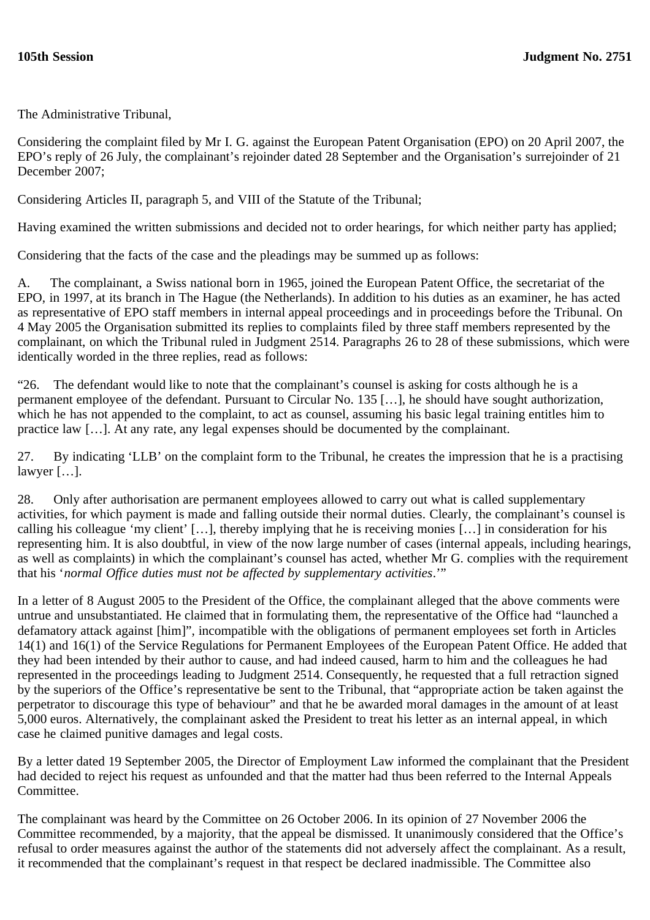The Administrative Tribunal,

Considering the complaint filed by Mr I. G. against the European Patent Organisation (EPO) on 20 April 2007, the EPO's reply of 26 July, the complainant's rejoinder dated 28 September and the Organisation's surrejoinder of 21 December 2007;

Considering Articles II, paragraph 5, and VIII of the Statute of the Tribunal;

Having examined the written submissions and decided not to order hearings, for which neither party has applied;

Considering that the facts of the case and the pleadings may be summed up as follows:

A. The complainant, a Swiss national born in 1965, joined the European Patent Office, the secretariat of the EPO, in 1997, at its branch in The Hague (the Netherlands). In addition to his duties as an examiner, he has acted as representative of EPO staff members in internal appeal proceedings and in proceedings before the Tribunal. On 4 May 2005 the Organisation submitted its replies to complaints filed by three staff members represented by the complainant, on which the Tribunal ruled in Judgment 2514. Paragraphs 26 to 28 of these submissions, which were identically worded in the three replies, read as follows:

"26. The defendant would like to note that the complainant's counsel is asking for costs although he is a permanent employee of the defendant. Pursuant to Circular No. 135 […], he should have sought authorization, which he has not appended to the complaint, to act as counsel, assuming his basic legal training entitles him to practice law […]. At any rate, any legal expenses should be documented by the complainant.

27. By indicating 'LLB' on the complaint form to the Tribunal, he creates the impression that he is a practising lawyer […].

28. Only after authorisation are permanent employees allowed to carry out what is called supplementary activities, for which payment is made and falling outside their normal duties. Clearly, the complainant's counsel is calling his colleague 'my client' […], thereby implying that he is receiving monies […] in consideration for his representing him. It is also doubtful, in view of the now large number of cases (internal appeals, including hearings, as well as complaints) in which the complainant's counsel has acted, whether Mr G. complies with the requirement that his '*normal Office duties must not be affected by supplementary activities*.'"

In a letter of 8 August 2005 to the President of the Office, the complainant alleged that the above comments were untrue and unsubstantiated. He claimed that in formulating them, the representative of the Office had "launched a defamatory attack against [him]", incompatible with the obligations of permanent employees set forth in Articles 14(1) and 16(1) of the Service Regulations for Permanent Employees of the European Patent Office. He added that they had been intended by their author to cause, and had indeed caused, harm to him and the colleagues he had represented in the proceedings leading to Judgment 2514. Consequently, he requested that a full retraction signed by the superiors of the Office's representative be sent to the Tribunal, that "appropriate action be taken against the perpetrator to discourage this type of behaviour" and that he be awarded moral damages in the amount of at least 5,000 euros. Alternatively, the complainant asked the President to treat his letter as an internal appeal, in which case he claimed punitive damages and legal costs.

By a letter dated 19 September 2005, the Director of Employment Law informed the complainant that the President had decided to reject his request as unfounded and that the matter had thus been referred to the Internal Appeals Committee.

The complainant was heard by the Committee on 26 October 2006. In its opinion of 27 November 2006 the Committee recommended, by a majority, that the appeal be dismissed. It unanimously considered that the Office's refusal to order measures against the author of the statements did not adversely affect the complainant. As a result, it recommended that the complainant's request in that respect be declared inadmissible. The Committee also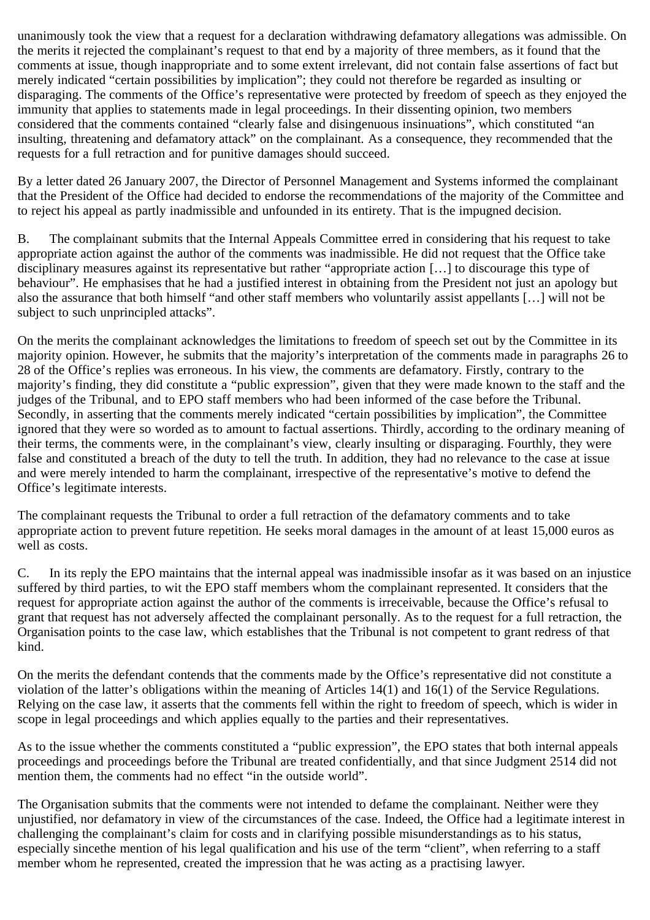unanimously took the view that a request for a declaration withdrawing defamatory allegations was admissible. On the merits it rejected the complainant's request to that end by a majority of three members, as it found that the comments at issue, though inappropriate and to some extent irrelevant, did not contain false assertions of fact but merely indicated "certain possibilities by implication"; they could not therefore be regarded as insulting or disparaging. The comments of the Office's representative were protected by freedom of speech as they enjoyed the immunity that applies to statements made in legal proceedings. In their dissenting opinion, two members considered that the comments contained "clearly false and disingenuous insinuations", which constituted "an insulting, threatening and defamatory attack" on the complainant. As a consequence, they recommended that the requests for a full retraction and for punitive damages should succeed.

By a letter dated 26 January 2007, the Director of Personnel Management and Systems informed the complainant that the President of the Office had decided to endorse the recommendations of the majority of the Committee and to reject his appeal as partly inadmissible and unfounded in its entirety. That is the impugned decision.

B. The complainant submits that the Internal Appeals Committee erred in considering that his request to take appropriate action against the author of the comments was inadmissible. He did not request that the Office take disciplinary measures against its representative but rather "appropriate action […] to discourage this type of behaviour". He emphasises that he had a justified interest in obtaining from the President not just an apology but also the assurance that both himself "and other staff members who voluntarily assist appellants […] will not be subject to such unprincipled attacks".

On the merits the complainant acknowledges the limitations to freedom of speech set out by the Committee in its majority opinion. However, he submits that the majority's interpretation of the comments made in paragraphs 26 to 28 of the Office's replies was erroneous. In his view, the comments are defamatory. Firstly, contrary to the majority's finding, they did constitute a "public expression", given that they were made known to the staff and the judges of the Tribunal, and to EPO staff members who had been informed of the case before the Tribunal. Secondly, in asserting that the comments merely indicated "certain possibilities by implication", the Committee ignored that they were so worded as to amount to factual assertions. Thirdly, according to the ordinary meaning of their terms, the comments were, in the complainant's view, clearly insulting or disparaging. Fourthly, they were false and constituted a breach of the duty to tell the truth. In addition, they had no relevance to the case at issue and were merely intended to harm the complainant, irrespective of the representative's motive to defend the Office's legitimate interests.

The complainant requests the Tribunal to order a full retraction of the defamatory comments and to take appropriate action to prevent future repetition. He seeks moral damages in the amount of at least 15,000 euros as well as costs.

C. In its reply the EPO maintains that the internal appeal was inadmissible insofar as it was based on an injustice suffered by third parties, to wit the EPO staff members whom the complainant represented. It considers that the request for appropriate action against the author of the comments is irreceivable, because the Office's refusal to grant that request has not adversely affected the complainant personally. As to the request for a full retraction, the Organisation points to the case law, which establishes that the Tribunal is not competent to grant redress of that kind.

On the merits the defendant contends that the comments made by the Office's representative did not constitute a violation of the latter's obligations within the meaning of Articles  $14(1)$  and  $16(1)$  of the Service Regulations. Relying on the case law, it asserts that the comments fell within the right to freedom of speech, which is wider in scope in legal proceedings and which applies equally to the parties and their representatives.

As to the issue whether the comments constituted a "public expression", the EPO states that both internal appeals proceedings and proceedings before the Tribunal are treated confidentially, and that since Judgment 2514 did not mention them, the comments had no effect "in the outside world".

The Organisation submits that the comments were not intended to defame the complainant. Neither were they unjustified, nor defamatory in view of the circumstances of the case. Indeed, the Office had a legitimate interest in challenging the complainant's claim for costs and in clarifying possible misunderstandings as to his status, especially sincethe mention of his legal qualification and his use of the term "client", when referring to a staff member whom he represented, created the impression that he was acting as a practising lawyer.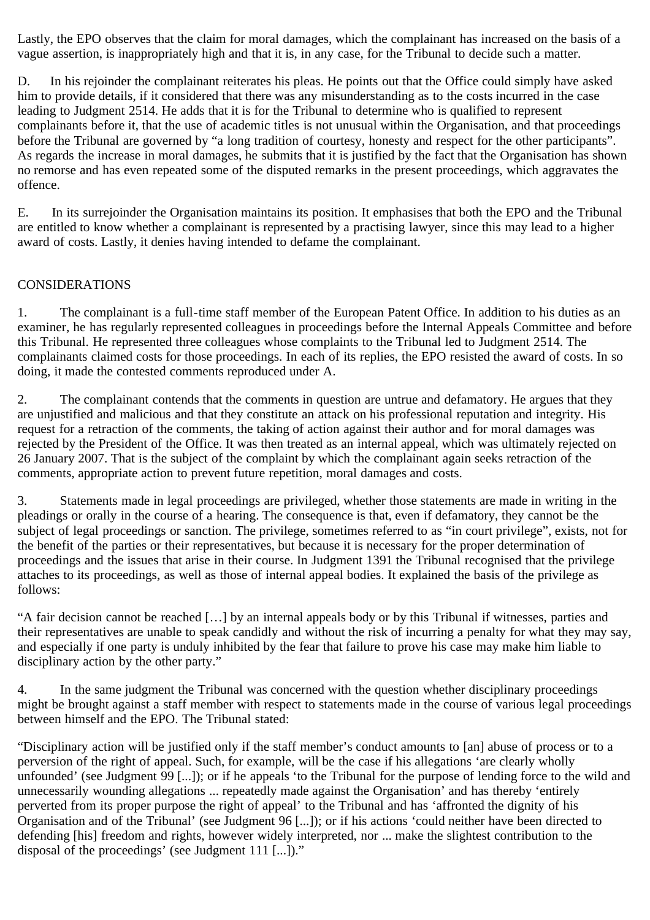Lastly, the EPO observes that the claim for moral damages, which the complainant has increased on the basis of a vague assertion, is inappropriately high and that it is, in any case, for the Tribunal to decide such a matter.

D. In his rejoinder the complainant reiterates his pleas. He points out that the Office could simply have asked him to provide details, if it considered that there was any misunderstanding as to the costs incurred in the case leading to Judgment 2514. He adds that it is for the Tribunal to determine who is qualified to represent complainants before it, that the use of academic titles is not unusual within the Organisation, and that proceedings before the Tribunal are governed by "a long tradition of courtesy, honesty and respect for the other participants". As regards the increase in moral damages, he submits that it is justified by the fact that the Organisation has shown no remorse and has even repeated some of the disputed remarks in the present proceedings, which aggravates the offence.

E. In its surrejoinder the Organisation maintains its position. It emphasises that both the EPO and the Tribunal are entitled to know whether a complainant is represented by a practising lawyer, since this may lead to a higher award of costs. Lastly, it denies having intended to defame the complainant.

## CONSIDERATIONS

1. The complainant is a full-time staff member of the European Patent Office. In addition to his duties as an examiner, he has regularly represented colleagues in proceedings before the Internal Appeals Committee and before this Tribunal. He represented three colleagues whose complaints to the Tribunal led to Judgment 2514. The complainants claimed costs for those proceedings. In each of its replies, the EPO resisted the award of costs. In so doing, it made the contested comments reproduced under A.

2. The complainant contends that the comments in question are untrue and defamatory. He argues that they are unjustified and malicious and that they constitute an attack on his professional reputation and integrity. His request for a retraction of the comments, the taking of action against their author and for moral damages was rejected by the President of the Office. It was then treated as an internal appeal, which was ultimately rejected on 26 January 2007. That is the subject of the complaint by which the complainant again seeks retraction of the comments, appropriate action to prevent future repetition, moral damages and costs.

3. Statements made in legal proceedings are privileged, whether those statements are made in writing in the pleadings or orally in the course of a hearing. The consequence is that, even if defamatory, they cannot be the subject of legal proceedings or sanction. The privilege, sometimes referred to as "in court privilege", exists, not for the benefit of the parties or their representatives, but because it is necessary for the proper determination of proceedings and the issues that arise in their course. In Judgment 1391 the Tribunal recognised that the privilege attaches to its proceedings, as well as those of internal appeal bodies. It explained the basis of the privilege as follows:

"A fair decision cannot be reached […] by an internal appeals body or by this Tribunal if witnesses, parties and their representatives are unable to speak candidly and without the risk of incurring a penalty for what they may say, and especially if one party is unduly inhibited by the fear that failure to prove his case may make him liable to disciplinary action by the other party."

4. In the same judgment the Tribunal was concerned with the question whether disciplinary proceedings might be brought against a staff member with respect to statements made in the course of various legal proceedings between himself and the EPO. The Tribunal stated:

"Disciplinary action will be justified only if the staff member's conduct amounts to [an] abuse of process or to a perversion of the right of appeal. Such, for example, will be the case if his allegations 'are clearly wholly unfounded' (see Judgment 99 [...]); or if he appeals 'to the Tribunal for the purpose of lending force to the wild and unnecessarily wounding allegations ... repeatedly made against the Organisation' and has thereby 'entirely perverted from its proper purpose the right of appeal' to the Tribunal and has 'affronted the dignity of his Organisation and of the Tribunal' (see Judgment 96 [...]); or if his actions 'could neither have been directed to defending [his] freedom and rights, however widely interpreted, nor ... make the slightest contribution to the disposal of the proceedings' (see Judgment 111 [...])."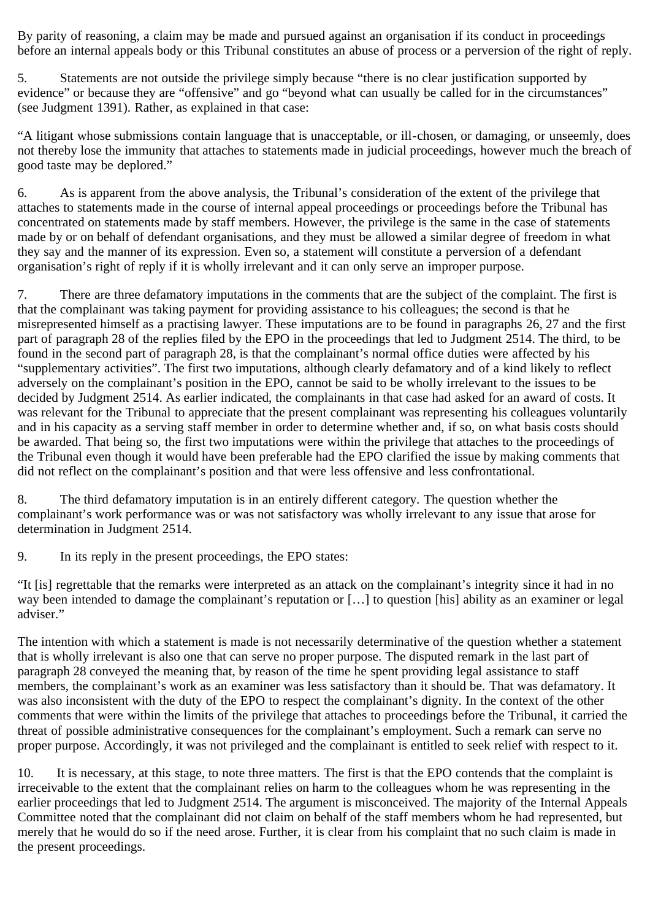By parity of reasoning, a claim may be made and pursued against an organisation if its conduct in proceedings before an internal appeals body or this Tribunal constitutes an abuse of process or a perversion of the right of reply.

5. Statements are not outside the privilege simply because "there is no clear justification supported by evidence" or because they are "offensive" and go "beyond what can usually be called for in the circumstances" (see Judgment 1391). Rather, as explained in that case:

"A litigant whose submissions contain language that is unacceptable, or ill-chosen, or damaging, or unseemly, does not thereby lose the immunity that attaches to statements made in judicial proceedings, however much the breach of good taste may be deplored."

6. As is apparent from the above analysis, the Tribunal's consideration of the extent of the privilege that attaches to statements made in the course of internal appeal proceedings or proceedings before the Tribunal has concentrated on statements made by staff members. However, the privilege is the same in the case of statements made by or on behalf of defendant organisations, and they must be allowed a similar degree of freedom in what they say and the manner of its expression. Even so, a statement will constitute a perversion of a defendant organisation's right of reply if it is wholly irrelevant and it can only serve an improper purpose.

7. There are three defamatory imputations in the comments that are the subject of the complaint. The first is that the complainant was taking payment for providing assistance to his colleagues; the second is that he misrepresented himself as a practising lawyer. These imputations are to be found in paragraphs 26, 27 and the first part of paragraph 28 of the replies filed by the EPO in the proceedings that led to Judgment 2514. The third, to be found in the second part of paragraph 28, is that the complainant's normal office duties were affected by his "supplementary activities". The first two imputations, although clearly defamatory and of a kind likely to reflect adversely on the complainant's position in the EPO, cannot be said to be wholly irrelevant to the issues to be decided by Judgment 2514. As earlier indicated, the complainants in that case had asked for an award of costs. It was relevant for the Tribunal to appreciate that the present complainant was representing his colleagues voluntarily and in his capacity as a serving staff member in order to determine whether and, if so, on what basis costs should be awarded. That being so, the first two imputations were within the privilege that attaches to the proceedings of the Tribunal even though it would have been preferable had the EPO clarified the issue by making comments that did not reflect on the complainant's position and that were less offensive and less confrontational.

8. The third defamatory imputation is in an entirely different category. The question whether the complainant's work performance was or was not satisfactory was wholly irrelevant to any issue that arose for determination in Judgment 2514.

9. In its reply in the present proceedings, the EPO states:

"It [is] regrettable that the remarks were interpreted as an attack on the complainant's integrity since it had in no way been intended to damage the complainant's reputation or […] to question [his] ability as an examiner or legal adviser."

The intention with which a statement is made is not necessarily determinative of the question whether a statement that is wholly irrelevant is also one that can serve no proper purpose. The disputed remark in the last part of paragraph 28 conveyed the meaning that, by reason of the time he spent providing legal assistance to staff members, the complainant's work as an examiner was less satisfactory than it should be. That was defamatory. It was also inconsistent with the duty of the EPO to respect the complainant's dignity. In the context of the other comments that were within the limits of the privilege that attaches to proceedings before the Tribunal, it carried the threat of possible administrative consequences for the complainant's employment. Such a remark can serve no proper purpose. Accordingly, it was not privileged and the complainant is entitled to seek relief with respect to it.

10. It is necessary, at this stage, to note three matters. The first is that the EPO contends that the complaint is irreceivable to the extent that the complainant relies on harm to the colleagues whom he was representing in the earlier proceedings that led to Judgment 2514. The argument is misconceived. The majority of the Internal Appeals Committee noted that the complainant did not claim on behalf of the staff members whom he had represented, but merely that he would do so if the need arose. Further, it is clear from his complaint that no such claim is made in the present proceedings.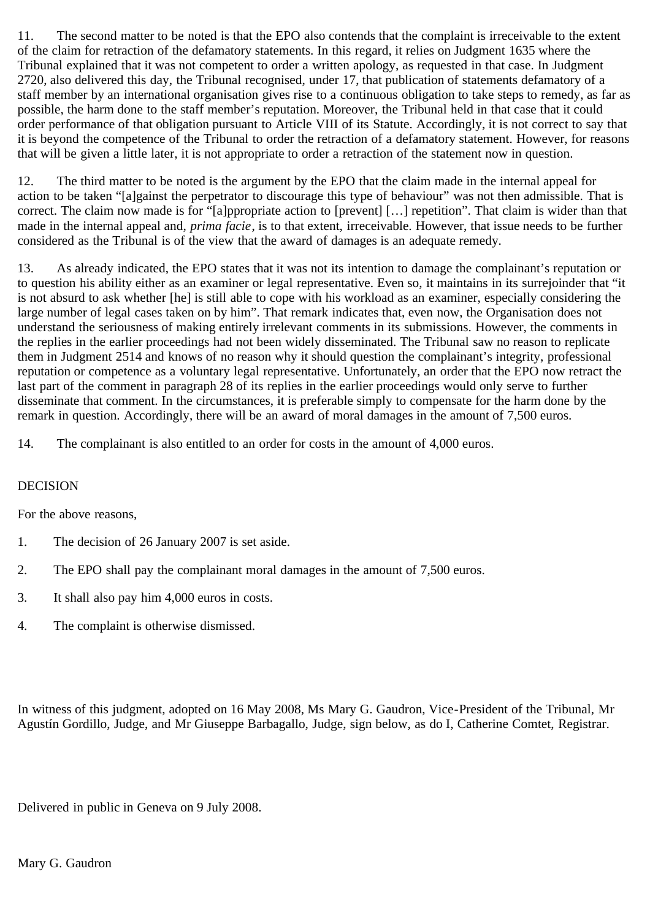11. The second matter to be noted is that the EPO also contends that the complaint is irreceivable to the extent of the claim for retraction of the defamatory statements. In this regard, it relies on Judgment 1635 where the Tribunal explained that it was not competent to order a written apology, as requested in that case. In Judgment 2720, also delivered this day, the Tribunal recognised, under 17, that publication of statements defamatory of a staff member by an international organisation gives rise to a continuous obligation to take steps to remedy, as far as possible, the harm done to the staff member's reputation. Moreover, the Tribunal held in that case that it could order performance of that obligation pursuant to Article VIII of its Statute. Accordingly, it is not correct to say that it is beyond the competence of the Tribunal to order the retraction of a defamatory statement. However, for reasons that will be given a little later, it is not appropriate to order a retraction of the statement now in question.

12. The third matter to be noted is the argument by the EPO that the claim made in the internal appeal for action to be taken "[a]gainst the perpetrator to discourage this type of behaviour" was not then admissible. That is correct. The claim now made is for "[a]ppropriate action to [prevent] […] repetition". That claim is wider than that made in the internal appeal and, *prima facie*, is to that extent, irreceivable. However, that issue needs to be further considered as the Tribunal is of the view that the award of damages is an adequate remedy.

13. As already indicated, the EPO states that it was not its intention to damage the complainant's reputation or to question his ability either as an examiner or legal representative. Even so, it maintains in its surrejoinder that "it is not absurd to ask whether [he] is still able to cope with his workload as an examiner, especially considering the large number of legal cases taken on by him". That remark indicates that, even now, the Organisation does not understand the seriousness of making entirely irrelevant comments in its submissions. However, the comments in the replies in the earlier proceedings had not been widely disseminated. The Tribunal saw no reason to replicate them in Judgment 2514 and knows of no reason why it should question the complainant's integrity, professional reputation or competence as a voluntary legal representative. Unfortunately, an order that the EPO now retract the last part of the comment in paragraph 28 of its replies in the earlier proceedings would only serve to further disseminate that comment. In the circumstances, it is preferable simply to compensate for the harm done by the remark in question. Accordingly, there will be an award of moral damages in the amount of 7,500 euros.

14. The complainant is also entitled to an order for costs in the amount of 4,000 euros.

## DECISION

For the above reasons,

- 1. The decision of 26 January 2007 is set aside.
- 2. The EPO shall pay the complainant moral damages in the amount of 7,500 euros.
- 3. It shall also pay him 4,000 euros in costs.
- 4. The complaint is otherwise dismissed.

In witness of this judgment, adopted on 16 May 2008, Ms Mary G. Gaudron, Vice-President of the Tribunal, Mr Agustín Gordillo, Judge, and Mr Giuseppe Barbagallo, Judge, sign below, as do I, Catherine Comtet, Registrar.

Delivered in public in Geneva on 9 July 2008.